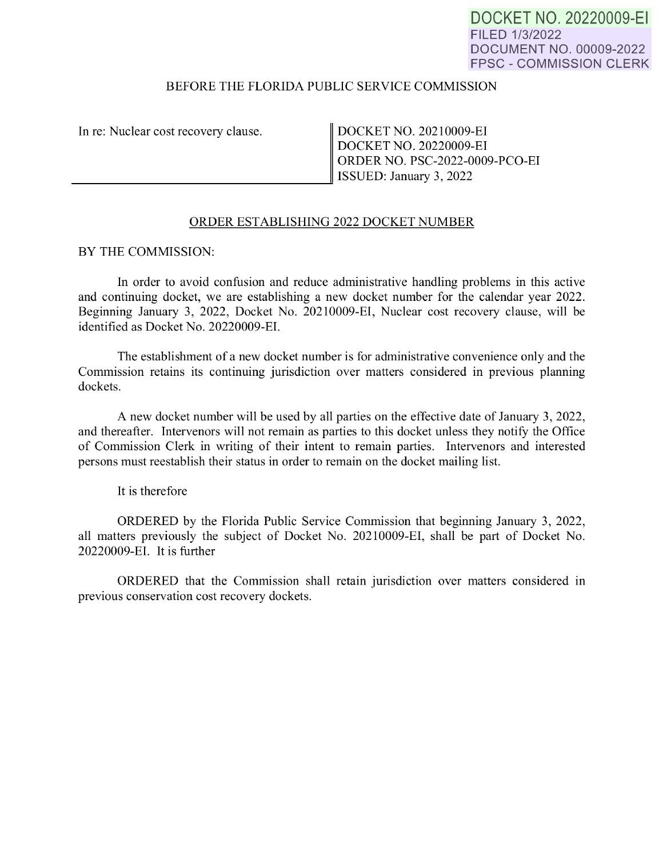DOCKET NO. 20220009-EI FILED 1/3/2022 DOCUMENT NO. 00009-2022 FPSC - COMMISSION CLERK

## BEFORE THE FLORIDA PUBLIC SERVICE COMMISSION

In re: Nuclear cost recovery clause.

 $\frac{1}{I}$ DOCKET NO. 20210009-EI DOCKET NO. 20220009-EI ORDER NO. PSC-2022-0009-PCO-EI ISSUED: January 3, 2022

## ORDER ESTABLISHING 2022 DOCKET NUMBER

BY THE COMMISSION:

In order to avoid confusion and reduce administrative handling problems in this active and continuing docket, we are establishing a new docket number for the calendar year 2022. Beginning January 3, 2022, Docket No. 20210009-EI, Nuclear cost recovery clause, will be identified as Docket No. 20220009-EI.

The establishment of a new docket number is for administrative convenience only and the Commission retains its continuing jurisdiction over matters considered in previous planning dockets.

A new docket number will be used by all parties on the effective date of January 3, 2022, and thereafter. Intervenors will not remain as parties to this docket unless they notify the Office of Commission Clerk in writing of their intent to remain parties. Intervenors and interested persons must reestablish their status in order to remain on the docket mailing list.

It is therefore

ORDERED by the Florida Public Service Commission that beginning January 3, 2022, all matters previously the subject of Docket No. 20210009-EI, shall be part of Docket No. 20220009-EI. It is further

ORDERED that the Commission shall retain jurisdiction over matters considered in previous conservation cost recovery dockets.